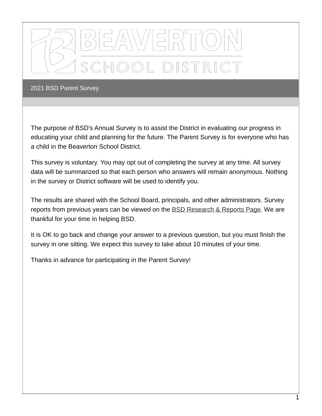

The purpose of BSD's Annual Survey is to assist the District in evaluating our progress in educating your child and planning for the future. The Parent Survey is for everyone who has a child in the Beaverton School District.

This survey is voluntary. You may opt out of completing the survey at any time. All survey data will be summarized so that each person who answers will remain anonymous. Nothing in the survey or District software will be used to identify you.

The results are shared with the School Board, principals, and other administrators. Survey reports from previous years can be viewed on the BSD [Research](https://www.beaverton.k12.or.us/departments/accountabiity/research-reports) & Reports Page. We are thankful for your time in helping BSD.

It is OK to go back and change your answer to a previous question, but you must finish the survey in one sitting. We expect this survey to take about 10 minutes of your time.

Thanks in advance for participating in the Parent Survey!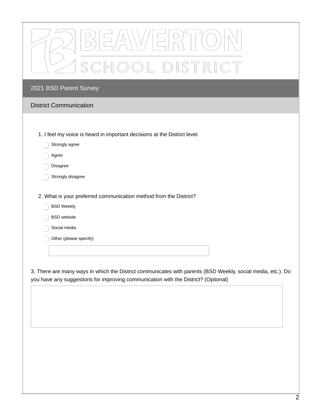| BEAWERTO)         |
|-------------------|
| A SCHOOL DISTRICT |

- 1. I feel my voice is heard in important decisions at the District level.
	- Strongly agree
	- Agree
	- Disagree
	- Strongly disagree
- 2. What is your preferred communication method from the District?
	- BSD Weekly  $\bigcirc$
	- BSD website
	- Social media
	- Other (please specify)

3. There are many ways in which the District communicates with parents (BSD Weekly, social media, etc.). Do you have any suggestions for improving communication with the District? (Optional)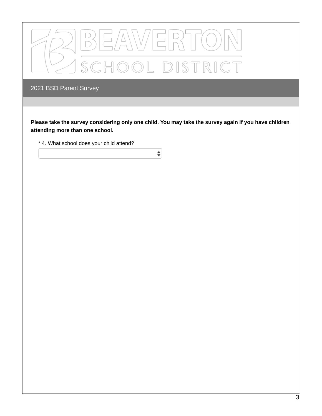

Please take the survey considering only one child. You may take the survey again if you have children **attending more than one school.**

 $\hat{\mathbf{z}}$ 

\* 4. What school does your child attend?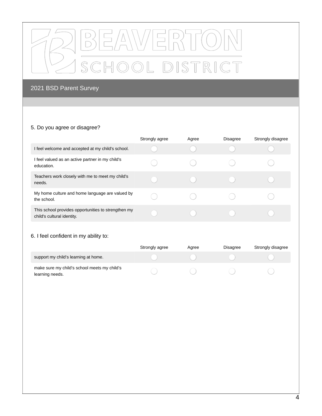

#### 5. Do you agree or disagree?

|                                                                                   | Strongly agree | Agree | <b>Disagree</b> | Strongly disagree |
|-----------------------------------------------------------------------------------|----------------|-------|-----------------|-------------------|
| I feel welcome and accepted at my child's school.                                 |                |       |                 |                   |
| I feel valued as an active partner in my child's<br>education.                    |                |       |                 |                   |
| Teachers work closely with me to meet my child's<br>needs.                        |                |       |                 |                   |
| My home culture and home language are valued by<br>the school.                    |                |       |                 |                   |
| This school provides opportunities to strengthen my<br>child's cultural identity. |                |       |                 |                   |

## 6. I feel confident in my ability to:

|                                                                 | Strongly agree | Agree | <b>Disagree</b> | Strongly disagree |
|-----------------------------------------------------------------|----------------|-------|-----------------|-------------------|
| support my child's learning at home.                            |                |       |                 |                   |
| make sure my child's school meets my child's<br>learning needs. |                |       |                 |                   |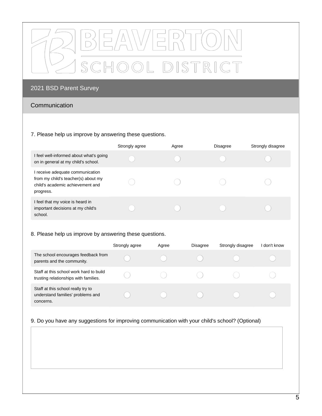

### Communication

#### 7. Please help us improve by answering these questions.

|                                                                                                                        | Strongly agree | Agree | <b>Disagree</b> | Strongly disagree |
|------------------------------------------------------------------------------------------------------------------------|----------------|-------|-----------------|-------------------|
| I feel well-informed about what's going<br>on in general at my child's school.                                         |                |       |                 |                   |
| receive adequate communication<br>from my child's teacher(s) about my<br>child's academic achievement and<br>progress. |                |       |                 |                   |
| I feel that my voice is heard in<br>important decisions at my child's<br>school.                                       |                |       |                 |                   |

#### 8. Please help us improve by answering these questions.

|                                                                                      | Strongly agree | Agree | <b>Disagree</b> | Strongly disagree | l don't know |
|--------------------------------------------------------------------------------------|----------------|-------|-----------------|-------------------|--------------|
| The school encourages feedback from<br>parents and the community.                    |                |       |                 |                   |              |
| Staff at this school work hard to build<br>trusting relationships with families.     |                |       |                 |                   |              |
| Staff at this school really try to<br>understand families' problems and<br>concerns. |                |       |                 |                   |              |

#### 9. Do you have any suggestions for improving communication with your child's school? (Optional)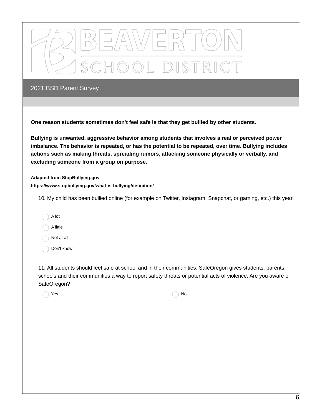

**One reason students sometimes don't feel safe is that they get bullied by other students.**

**Bullying is unwanted, aggressive behavior among students that involves a real or perceived power imbalance. The behavior is repeated, or has the potential to be repeated, over time. Bullying includes actions such as making threats, spreading rumors, attacking someone physically or verbally, and excluding someone from a group on purpose.**

**Adapted from StopBullying.gov https://www.stopbullying.gov/what-is-bullying/definition/**

10. My child has been bullied online (for example on Twitter, Instagram, Snapchat, or gaming, etc.) this year.

- A lot
- A little

Not at all

Don't know

11. All students should feel safe at school and in their communities. SafeOregon gives students, parents, schools and their communities a way to report safety threats or potential acts of violence. Are you aware of SafeOregon?

 $Yes$  No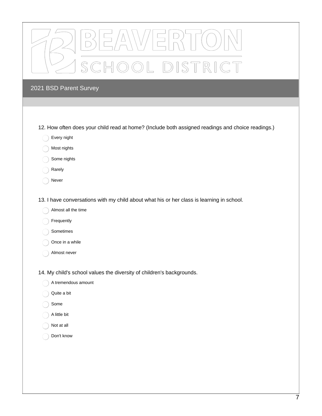| OOL DISTRICT<br>SC                                                                                                                                                             |
|--------------------------------------------------------------------------------------------------------------------------------------------------------------------------------|
| 2021 BSD Parent Survey                                                                                                                                                         |
|                                                                                                                                                                                |
| 12. How often does your child read at home? (Include both assigned readings and choice readings.)<br>Every night                                                               |
| Most nights                                                                                                                                                                    |
| Some nights                                                                                                                                                                    |
| Rarely<br>Never                                                                                                                                                                |
| 13. I have conversations with my child about what his or her class is learning in school.<br>Almost all the time<br>Frequently<br>Sometimes<br>Once in a while<br>Almost never |
| 14. My child's school values the diversity of children's backgrounds.                                                                                                          |
| A tremendous amount                                                                                                                                                            |
| Quite a bit                                                                                                                                                                    |
| Some                                                                                                                                                                           |
| A little bit                                                                                                                                                                   |
| Not at all                                                                                                                                                                     |
| Don't know                                                                                                                                                                     |
|                                                                                                                                                                                |
|                                                                                                                                                                                |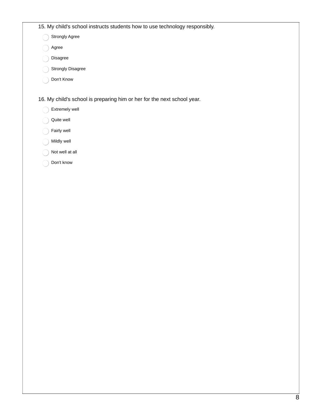|  |  |  |  |  |  |  |  | 15. My child's school instructs students how to use technology responsibly. |
|--|--|--|--|--|--|--|--|-----------------------------------------------------------------------------|
|--|--|--|--|--|--|--|--|-----------------------------------------------------------------------------|

Strongly Agree

Agree

- Disagree
- Strongly Disagree
- Don't Know

16. My child's school is preparing him or her for the next school year.

- Extremely well
- Quite well
- Fairly well
- Mildly well
- Not well at all
- Don't know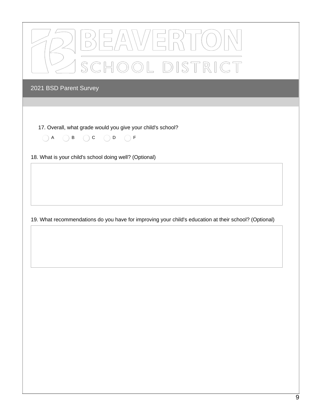| BEAWERTON        |
|------------------|
| ASCHOOL DISTRICT |

17. Overall, what grade would you give your child's school?

 $\begin{array}{ccc} \bigcirc A & \bigcirc B & \bigcirc C & \bigcirc D & \bigcirc F \end{array}$ 

18. What is your child's school doing well? (Optional)

19. What recommendations do you have for improving your child's education at their school? (Optional)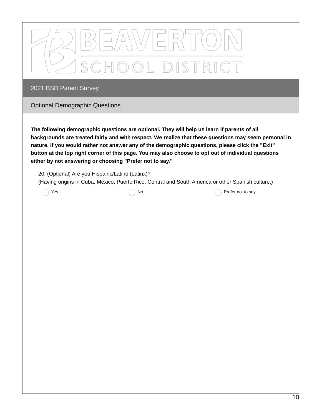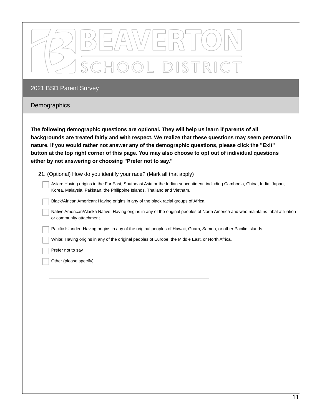| DISTRICT                                                                                                                                                                                                                                                                                                                                                                                                                                                                    |  |  |  |  |  |
|-----------------------------------------------------------------------------------------------------------------------------------------------------------------------------------------------------------------------------------------------------------------------------------------------------------------------------------------------------------------------------------------------------------------------------------------------------------------------------|--|--|--|--|--|
| 2021 BSD Parent Survey                                                                                                                                                                                                                                                                                                                                                                                                                                                      |  |  |  |  |  |
| Demographics                                                                                                                                                                                                                                                                                                                                                                                                                                                                |  |  |  |  |  |
| The following demographic questions are optional. They will help us learn if parents of all<br>backgrounds are treated fairly and with respect. We realize that these questions may seem personal in<br>nature. If you would rather not answer any of the demographic questions, please click the "Exit"<br>button at the top right corner of this page. You may also choose to opt out of individual questions<br>either by not answering or choosing "Prefer not to say." |  |  |  |  |  |
|                                                                                                                                                                                                                                                                                                                                                                                                                                                                             |  |  |  |  |  |
| 21. (Optional) How do you identify your race? (Mark all that apply)                                                                                                                                                                                                                                                                                                                                                                                                         |  |  |  |  |  |
| Asian: Having origins in the Far East, Southeast Asia or the Indian subcontinent, including Cambodia, China, India, Japan,<br>Korea, Malaysia, Pakistan, the Philippine Islands, Thailand and Vietnam.                                                                                                                                                                                                                                                                      |  |  |  |  |  |
| Black/African American: Having origins in any of the black racial groups of Africa.                                                                                                                                                                                                                                                                                                                                                                                         |  |  |  |  |  |
| Native American/Alaska Native: Having origins in any of the original peoples of North America and who maintains tribal affiliation<br>or community attachment.                                                                                                                                                                                                                                                                                                              |  |  |  |  |  |

White: Having origins in any of the original peoples of Europe, the Middle East, or North Africa.

Prefer not to say

Other (please specify)